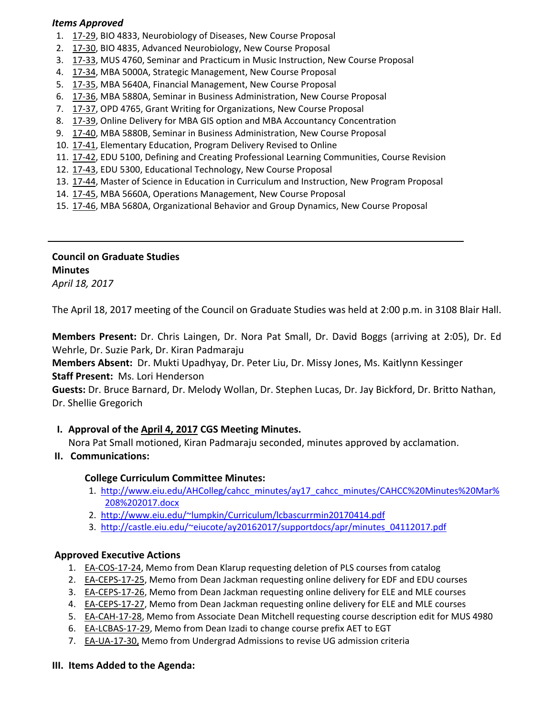### *Items Approved*

- 1. [17](http://castle.eiu.edu/eiucgs/currentagendaitems/agenda17-29.pdf)‐29, BIO 4833, Neurobiology of Diseases, New Course Proposal
- 2. 17‐[30,](http://castle.eiu.edu/eiucgs/currentagendaitems/agenda17-30.pdf) BIO 4835, Advanced Neurobiology, New Course Proposal
- 3. 17-[33,](http://castle.eiu.edu/eiucgs/currentagendaitems/agenda17-33.pdf) MUS 4760, Seminar and Practicum in Music Instruction, New Course Proposal
- 4. 17‐[34,](http://castle.eiu.edu/eiucgs/currentagendaitems/agenda17-34.pdf) MBA 5000A, Strategic Management, New Course Proposal
- 5. [17](http://castle.eiu.edu/eiucgs/currentagendaitems/agenda17-35.pdf)-35, MBA 5640A, Financial Management, New Course Proposal
- 6. 17‐[36,](http://castle.eiu.edu/eiucgs/currentagendaitems/agenda17-36.pdf) MBA 5880A, Seminar in Business Administration, New Course Proposal
- 7. 17‐[37,](http://castle.eiu.edu/eiucgs/currentagendaitems/agenda17-37.pdf) OPD 4765, Grant Writing for Organizations, New Course Proposal
- 8. 17-[39,](http://castle.eiu.edu/eiucgs/currentagendaitems/agenda17-39.pdf) Online Delivery for MBA GIS option and MBA Accountancy Concentration
- 9. 17-[40,](http://castle.eiu.edu/eiucgs/currentagendaitems/agenda17-40.pdf) MBA 5880B, Seminar in Business Administration, New Course Proposal
- 10. 17‐[41,](http://castle.eiu.edu/eiucgs/currentagendaitems/agenda17-41.pdf) Elementary Education, Program Delivery Revised to Online
- 11. 17-[42,](http://castle.eiu.edu/eiucgs/currentagendaitems/agenda17-42.pdf) EDU 5100, Defining and Creating Professional Learning Communities, Course Revision
- 12. 17‐[43,](http://castle.eiu.edu/eiucgs/currentagendaitems/agenda17-43.pdf) EDU 5300, Educational Technology, New Course Proposal
- 13. [17](http://castle.eiu.edu/eiucgs/currentagendaitems/agenda17-44.pdf)-44, Master of Science in Education in Curriculum and Instruction, New Program Proposal
- 14. 17‐[45,](http://castle.eiu.edu/eiucgs/currentagendaitems/agenda17-45.pdf) MBA 5660A, Operations Management, New Course Proposal
- 15. 17‐[46,](http://castle.eiu.edu/eiucgs/currentagendaitems/agenda17-46.pdf) MBA 5680A, Organizational Behavior and Group Dynamics, New Course Proposal

## **Council on Graduate Studies Minutes**

*April 18, 2017*

The April 18, 2017 meeting of the Council on Graduate Studies was held at 2:00 p.m. in 3108 Blair Hall.

**Members Present:** Dr. Chris Laingen, Dr. Nora Pat Small, Dr. David Boggs (arriving at 2:05), Dr. Ed Wehrle, Dr. Suzie Park, Dr. Kiran Padmaraju

**Members Absent:** Dr. Mukti Upadhyay, Dr. Peter Liu, Dr. Missy Jones, Ms. Kaitlynn Kessinger **Staff Present:** Ms. Lori Henderson

**Guests:** Dr. Bruce Barnard, Dr. Melody Wollan, Dr. Stephen Lucas, Dr. Jay Bickford, Dr. Britto Nathan, Dr. Shellie Gregorich

# **I. Approval of the April 4, [2017](http://castle.eiu.edu/eiucgs/currentminutes/Minutes4-4-17.pdf) CGS Meeting Minutes.**

Nora Pat Small motioned, Kiran Padmaraju seconded, minutes approved by acclamation.

### **II. Communications:**

### **College Curriculum Committee Minutes:**

- 1. [http://www.eiu.edu/A](http://www.eiu.edu/AHColleg/cahcc_minutes/ay17_cahcc_minutes/CAHCC%20Minutes%20Mar%208%202017.docx)HColleg/cahcc\_minutes/ay17\_cahcc\_minutes/CAHCC%20Minutes%20Mar% 208%202017.docx
- 2. <http://www.eiu.edu/~lumpkin/Curriculum/lcbascurrmin20170414.pdf>
- 3. [http://castle.eiu.edu/~eiucote/ay20162017/supportdocs/](http://castle.eiu.edu/~eiucote/ay20162017/supportdocs/apr/minutes_04112017.pdf)apr/minutes\_04112017.pdf

### **Approved Executive Actions**

- 1. EA-[COS](http://castle.eiu.edu/eiucgs/exec-actions/EA-COS-17-24.pdf)-17-24, Memo from Dean Klarup requesting deletion of PLS courses from catalog
- 2. EA-[CEPS](http://castle.eiu.edu/eiucgs/exec-actions/EA-CEPS-17-25.pdf)-17-25, Memo from Dean Jackman requesting online delivery for EDF and EDU courses
- 3. EA-[CEPS](http://castle.eiu.edu/eiucgs/exec-actions/EA-CEPS-17-26.pdf)-17-26, Memo from Dean Jackman requesting online delivery for ELE and MLE courses
- 4. EA‐[CEPS](http://castle.eiu.edu/eiucgs/exec-actions/EA-CEPS-17-27.pdf)‐17‐27, Memo from Dean Jackman requesting online delivery for ELE and MLE courses
- 5. EA-[CAH](http://castle.eiu.edu/eiucgs/exec-actions/EA-CAH-17-28.pdf)-17-28, Memo from Associate Dean Mitchell requesting course description edit for MUS 4980
- 6. EA‐[LCBAS](http://castle.eiu.edu/eiucgs/exec-actions/EA-LCBAS-17-29.pdf)‐17‐29, Memo from Dean Izadi to change course prefix AET to EGT
- 7. EA‐UA‐17‐[30,](http://castle.eiu.edu/eiucgs/exec-actions/EA-UA-17-30.pdf) Memo from Undergrad Admissions to revise UG admission criteria

#### **III. Items Added to the Agenda:**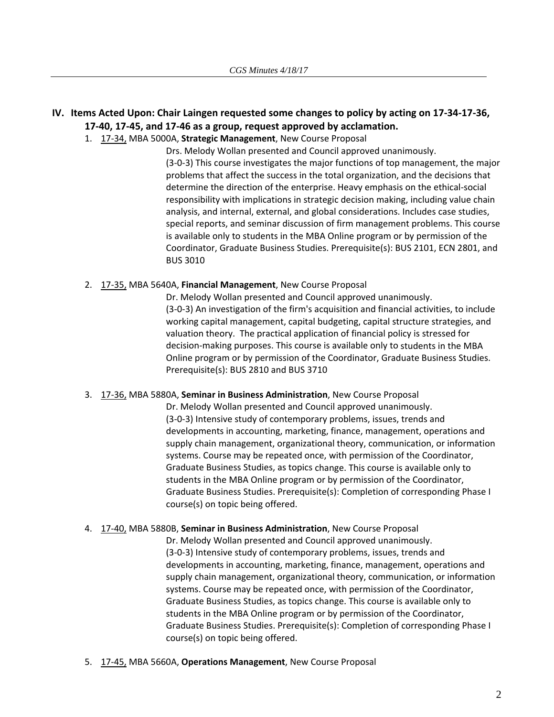## IV. Items Acted Upon: Chair Laingen requested some changes to policy by acting on 17-34-17-36, **17‐40, 17‐45, and 17‐46 as a group, request approved by acclamation.**

1. 17‐[34,](http://castle.eiu.edu/eiucgs/currentagendaitems/agenda17-34.pdf) MBA 5000A, **Strategic Management**, New Course Proposal

Drs. Melody Wollan presented and Council approved unanimously. (3‐0‐3) This course investigates the major functions of top management, the major problems that affect the success in the total organization, and the decisions that determine the direction of the enterprise. Heavy emphasis on the ethical‐social responsibility with implications in strategic decision making, including value chain analysis, and internal, external, and global considerations. Includes case studies, special reports, and seminar discussion of firm management problems. This course is available only to students in the MBA Online program or by permission of the Coordinator, Graduate Business Studies. Prerequisite(s): BUS 2101, ECN 2801, and BUS 3010

#### 2. 17‐[35,](http://castle.eiu.edu/eiucgs/currentagendaitems/agenda17-35.pdf) MBA 5640A, **Financial Management**, New Course Proposal

Dr. Melody Wollan presented and Council approved unanimously. (3‐0‐3) An investigation of the firm's acquisition and financial activities, to include working capital management, capital budgeting, capital structure strategies, and valuation theory. The practical application of financial policy is stressed for decision‐making purposes. This course is available only to students in the MBA Online program or by permission of the Coordinator, Graduate Business Studies. Prerequisite(s): BUS 2810 and BUS 3710

#### 3. 17‐[36,](http://castle.eiu.edu/eiucgs/currentagendaitems/agenda17-36.pdf) MBA 5880A, **Seminar in Business Administration**, New Course Proposal

Dr. Melody Wollan presented and Council approved unanimously. (3‐0‐3) Intensive study of contemporary problems, issues, trends and developments in accounting, marketing, finance, management, operations and supply chain management, organizational theory, communication, or information systems. Course may be repeated once, with permission of the Coordinator, Graduate Business Studies, as topics change. This course is available only to students in the MBA Online program or by permission of the Coordinator, Graduate Business Studies. Prerequisite(s): Completion of corresponding Phase I course(s) on topic being offered.

#### 4. 17‐[40,](http://castle.eiu.edu/eiucgs/currentagendaitems/agenda17-40.pdf) MBA 5880B, **Seminar in Business Administration**, New Course Proposal

Dr. Melody Wollan presented and Council approved unanimously. (3‐0‐3) Intensive study of contemporary problems, issues, trends and developments in accounting, marketing, finance, management, operations and supply chain management, organizational theory, communication, or information systems. Course may be repeated once, with permission of the Coordinator, Graduate Business Studies, as topics change. This course is available only to students in the MBA Online program or by permission of the Coordinator, Graduate Business Studies. Prerequisite(s): Completion of corresponding Phase I course(s) on topic being offered.

5. 17‐[45,](http://castle.eiu.edu/eiucgs/currentagendaitems/agenda17-45.pdf) MBA 5660A, **Operations Management**, New Course Proposal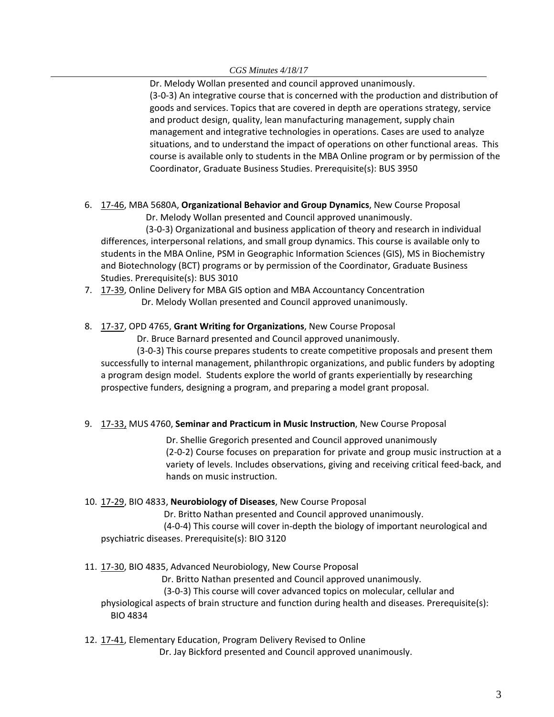Dr. Melody Wollan presented and council approved unanimously. (3‐0‐3) An integrative course that is concerned with the production and distribution of goods and services. Topics that are covered in depth are operations strategy, service and product design, quality, lean manufacturing management, supply chain management and integrative technologies in operations. Cases are used to analyze situations, and to understand the impact of operations on other functional areas. This course is available only to students in the MBA Online program or by permission of the Coordinator, Graduate Business Studies. Prerequisite(s): BUS 3950

6. 17‐[46,](http://castle.eiu.edu/eiucgs/currentagendaitems/agenda17-46.pdf) MBA 5680A, **Organizational Behavior and Group Dynamics**, New Course Proposal

Dr. Melody Wollan presented and Council approved unanimously.

 (3‐0‐3) Organizational and business application of theory and research in individual differences, interpersonal relations, and small group dynamics. This course is available only to students in the MBA Online, PSM in Geographic Information Sciences (GIS), MS in Biochemistry and Biotechnology (BCT) programs or by permission of the Coordinator, Graduate Business Studies. Prerequisite(s): BUS 3010

- 7. 17‐[39,](http://castle.eiu.edu/eiucgs/currentagendaitems/agenda17-39.pdf) Online Delivery for MBA GIS option and MBA Accountancy Concentration Dr. Melody Wollan presented and Council approved unanimously.
- 8. 17‐[37,](http://castle.eiu.edu/eiucgs/currentagendaitems/agenda17-37.pdf) OPD 4765, **Grant Writing for Organizations**, New Course Proposal

Dr. Bruce Barnard presented and Council approved unanimously.

 (3‐0‐3) This course prepares students to create competitive proposals and present them successfully to internal management, philanthropic organizations, and public funders by adopting a program design model. Students explore the world of grants experientially by researching prospective funders, designing a program, and preparing a model grant proposal.

# 9. 17‐[33,](http://castle.eiu.edu/eiucgs/currentagendaitems/agenda17-33.pdf) MUS 4760, **Seminar and Practicum in Music Instruction**, New Course Proposal

Dr. Shellie Gregorich presented and Council approved unanimously (2‐0‐2) Course focuses on preparation for private and group music instruction at a variety of levels. Includes observations, giving and receiving critical feed‐back, and hands on music instruction.

### 10. 17‐[29,](http://castle.eiu.edu/eiucgs/currentagendaitems/agenda17-29.pdf) BIO 4833, **Neurobiology of Diseases**, New Course Proposal

Dr. Britto Nathan presented and Council approved unanimously.

 (4‐0‐4) This course will cover in‐depth the biology of important neurological and psychiatric diseases. Prerequisite(s): BIO 3120

### 11. 17-[30,](http://castle.eiu.edu/eiucgs/currentagendaitems/agenda17-30.pdf) BIO 4835, Advanced Neurobiology, New Course Proposal

Dr. Britto Nathan presented and Council approved unanimously.

(3‐0‐3) This course will cover advanced topics on molecular, cellular and

physiological aspects of brain structure and function during health and diseases. Prerequisite(s): BIO 4834

12. 17‐[41,](http://castle.eiu.edu/eiucgs/currentagendaitems/agenda17-41.pdf) Elementary Education, Program Delivery Revised to Online

Dr. Jay Bickford presented and Council approved unanimously.